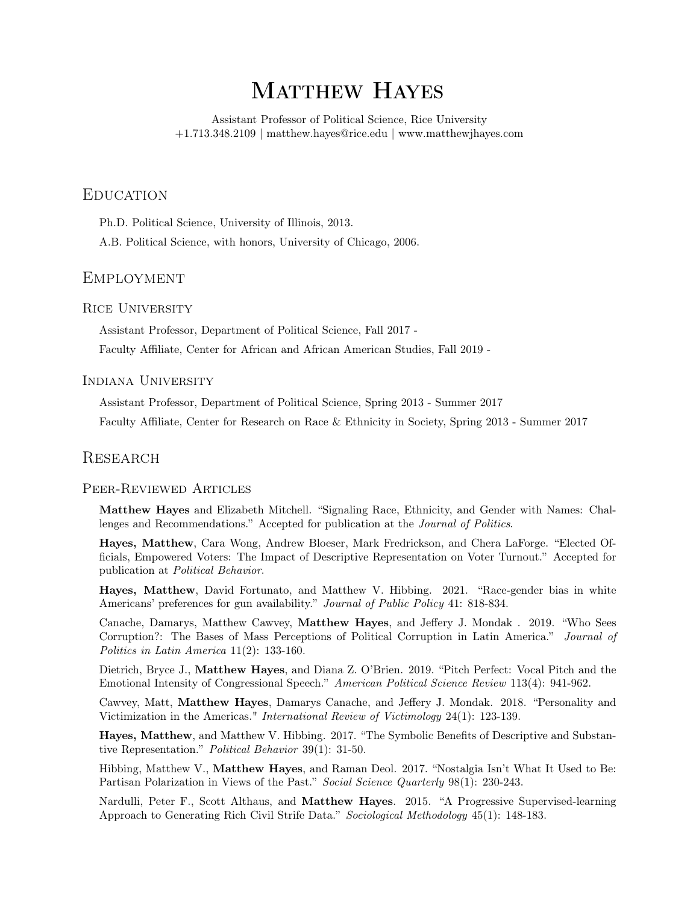# MATTHEW HAYES

Assistant Professor of Political Science, Rice University +1.713.348.2109 | [matthew.hayes@rice.edu](mailto:matthew.hayes@rice.edu) | <www.matthewjhayes.com>

# **EDUCATION**

Ph.D. Political Science, University of Illinois, 2013.

A.B. Political Science, with honors, University of Chicago, 2006.

# **EMPLOYMENT**

## Rice University

Assistant Professor, Department of Political Science, Fall 2017 -

Faculty Afliate, Center for African and African American Studies, Fall 2019 -

### Indiana University

Assistant Professor, Department of Political Science, Spring 2013 - Summer 2017

Faculty Afliate, Center for Research on Race & Ethnicity in Society, Spring 2013 - Summer 2017

## **RESEARCH**

#### Peer-Reviewed Articles

Matthew Hayes and Elizabeth Mitchell. "Signaling Race, Ethnicity, and Gender with Names: Challenges and Recommendations." Accepted for publication at the Journal of Politics.

Hayes, Matthew, Cara Wong, Andrew Bloeser, Mark Fredrickson, and Chera LaForge. "Elected Offcials, Empowered Voters: The Impact of Descriptive Representation on Voter Turnout." Accepted for publication at Political Behavior.

Hayes, Matthew, David Fortunato, and Matthew V. Hibbing. 2021. "Race-gender bias in white Americans' preferences for gun availability." Journal of Public Policy 41: 818-834.

Canache, Damarys, Matthew Cawvey, Matthew Hayes, and Jefery J. Mondak . 2019. "Who Sees Corruption?: The Bases of Mass Perceptions of Political Corruption in Latin America." Journal of Politics in Latin America 11(2): 133-160.

Dietrich, Bryce J., Matthew Hayes, and Diana Z. O'Brien. 2019. "Pitch Perfect: Vocal Pitch and the Emotional Intensity of Congressional Speech." American Political Science Review 113(4): 941-962.

Cawvey, Matt, Matthew Hayes, Damarys Canache, and Jefery J. Mondak. 2018. "Personality and Victimization in the Americas." International Review of Victimology 24(1): 123-139.

Hayes, Matthew, and Matthew V. Hibbing. 2017. "The Symbolic Benefts of Descriptive and Substantive Representation." Political Behavior 39(1): 31-50.

Hibbing, Matthew V., Matthew Hayes, and Raman Deol. 2017. "Nostalgia Isn't What It Used to Be: Partisan Polarization in Views of the Past." Social Science Quarterly 98(1): 230-243.

Nardulli, Peter F., Scott Althaus, and Matthew Hayes. 2015. "A Progressive Supervised-learning Approach to Generating Rich Civil Strife Data." Sociological Methodology 45(1): 148-183.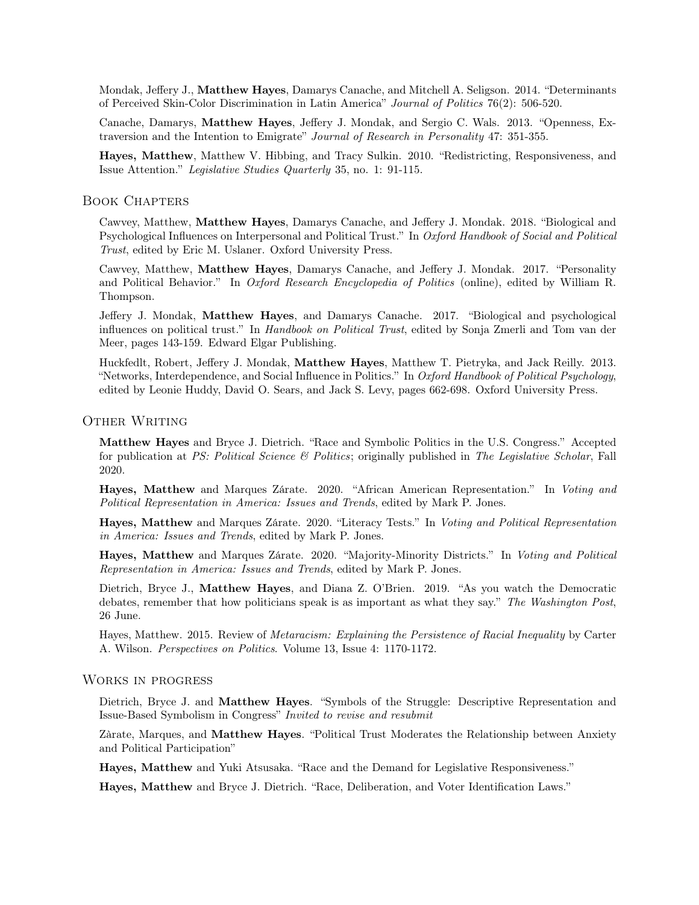Mondak, Jefery J., Matthew Hayes, Damarys Canache, and Mitchell A. Seligson. 2014. "Determinants of Perceived Skin-Color Discrimination in Latin America" Journal of Politics 76(2): 506-520.

Canache, Damarys, Matthew Hayes, Jefery J. Mondak, and Sergio C. Wals. 2013. "Openness, Extraversion and the Intention to Emigrate" Journal of Research in Personality 47: 351-355.

Hayes, Matthew, Matthew V. Hibbing, and Tracy Sulkin. 2010. "Redistricting, Responsiveness, and Issue Attention." Legislative Studies Quarterly 35, no. 1: 91-115.

#### Book Chapters

Cawvey, Matthew, Matthew Hayes, Damarys Canache, and Jefery J. Mondak. 2018. "Biological and Psychological Infuences on Interpersonal and Political Trust." In Oxford Handbook of Social and Political Trust, edited by Eric M. Uslaner. Oxford University Press.

Cawvey, Matthew, Matthew Hayes, Damarys Canache, and Jefery J. Mondak. 2017. "Personality and Political Behavior." In Oxford Research Encyclopedia of Politics (online), edited by William R. Thompson.

Jefery J. Mondak, Matthew Hayes, and Damarys Canache. 2017. "Biological and psychological infuences on political trust." In Handbook on Political Trust, edited by Sonja Zmerli and Tom van der Meer, pages 143-159. Edward Elgar Publishing.

Huckfedlt, Robert, Jefery J. Mondak, Matthew Hayes, Matthew T. Pietryka, and Jack Reilly. 2013. "Networks, Interdependence, and Social Infuence in Politics." In Oxford Handbook of Political Psychology, edited by Leonie Huddy, David O. Sears, and Jack S. Levy, pages 662-698. Oxford University Press.

## OTHER WRITING

Matthew Hayes and Bryce J. Dietrich. "Race and Symbolic Politics in the U.S. Congress." Accepted for publication at PS: Political Science  $\mathcal B$  Politics; originally published in The Legislative Scholar, Fall 2020.

Hayes, Matthew and Marques Zárate. 2020. "African American Representation." In Voting and Political Representation in America: Issues and Trends, edited by Mark P. Jones.

Hayes, Matthew and Marques Zárate. 2020. "Literacy Tests." In Voting and Political Representation in America: Issues and Trends, edited by Mark P. Jones.

Hayes, Matthew and Marques Zárate. 2020. "Majority-Minority Districts." In Voting and Political Representation in America: Issues and Trends, edited by Mark P. Jones.

Dietrich, Bryce J., Matthew Hayes, and Diana Z. O'Brien. 2019. "As you watch the Democratic debates, remember that how politicians speak is as important as what they say." The Washington Post, 26 June.

Hayes, Matthew. 2015. Review of Metaracism: Explaining the Persistence of Racial Inequality by Carter A. Wilson. Perspectives on Politics. Volume 13, Issue 4: 1170-1172.

## Works in progress

Dietrich, Bryce J. and **Matthew Hayes**. "Symbols of the Struggle: Descriptive Representation and Issue-Based Symbolism in Congress" Invited to revise and resubmit

Zàrate, Marques, and Matthew Hayes. "Political Trust Moderates the Relationship between Anxiety and Political Participation"

Hayes, Matthew and Yuki Atsusaka. "Race and the Demand for Legislative Responsiveness."

Hayes, Matthew and Bryce J. Dietrich. "Race, Deliberation, and Voter Identifcation Laws."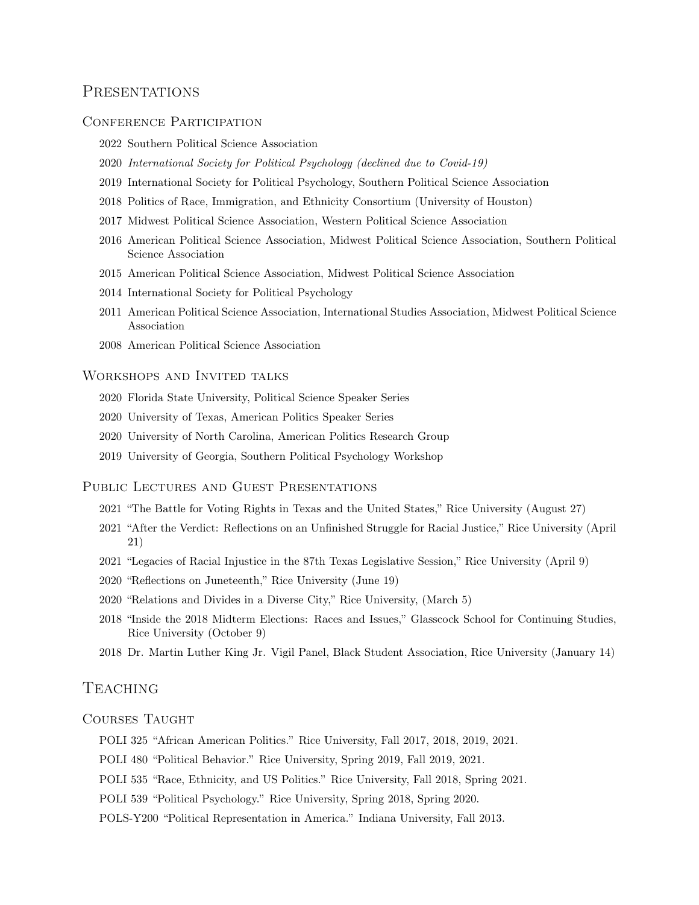# **PRESENTATIONS**

#### CONFERENCE PARTICIPATION

- 2022 Southern Political Science Association
- 2020 International Society for Political Psychology (declined due to Covid-19)
- 2019 International Society for Political Psychology, Southern Political Science Association
- 2018 Politics of Race, Immigration, and Ethnicity Consortium (University of Houston)
- 2017 Midwest Political Science Association, Western Political Science Association
- 2016 American Political Science Association, Midwest Political Science Association, Southern Political Science Association
- 2015 American Political Science Association, Midwest Political Science Association
- 2014 International Society for Political Psychology
- 2011 American Political Science Association, International Studies Association, Midwest Political Science Association
- 2008 American Political Science Association

## Workshops and Invited talks

- 2020 Florida State University, Political Science Speaker Series
- 2020 University of Texas, American Politics Speaker Series
- 2020 University of North Carolina, American Politics Research Group
- 2019 University of Georgia, Southern Political Psychology Workshop

#### PUBLIC LECTURES AND GUEST PRESENTATIONS

- 2021 "The Battle for Voting Rights in Texas and the United States," Rice University (August 27)
- 2021 "After the Verdict: Refections on an Unfnished Struggle for Racial Justice," Rice University (April 21)
- 2021 "Legacies of Racial Injustice in the 87th Texas Legislative Session," Rice University (April 9)
- 2020 "Refections on Juneteenth," Rice University (June 19)
- 2020 "Relations and Divides in a Diverse City," Rice University, (March 5)
- 2018 "Inside the 2018 Midterm Elections: Races and Issues," Glasscock School for Continuing Studies, Rice University (October 9)
- 2018 Dr. Martin Luther King Jr. Vigil Panel, Black Student Association, Rice University (January 14)

# **TEACHING**

#### COURSES TAUGHT

- POLI 325 "African American Politics." Rice University, Fall 2017, 2018, 2019, 2021.
- POLI 480 "Political Behavior." Rice University, Spring 2019, Fall 2019, 2021.
- POLI 535 "Race, Ethnicity, and US Politics." Rice University, Fall 2018, Spring 2021.
- POLI 539 "Political Psychology." Rice University, Spring 2018, Spring 2020.
- POLS-Y200 "Political Representation in America." Indiana University, Fall 2013.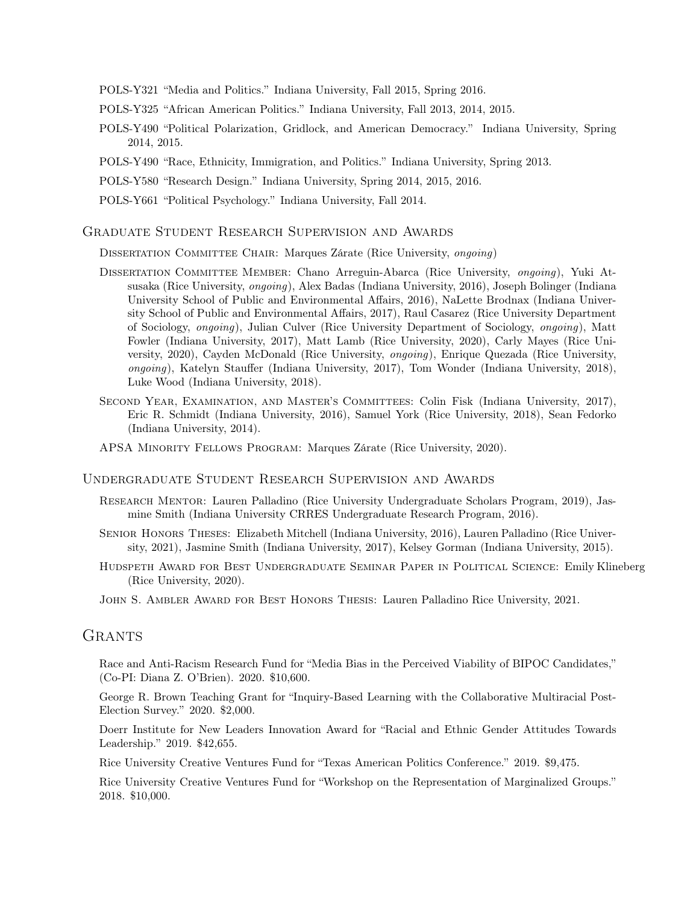- POLS-Y321 "Media and Politics." Indiana University, Fall 2015, Spring 2016.
- POLS-Y325 "African American Politics." Indiana University, Fall 2013, 2014, 2015.
- POLS-Y490 "Political Polarization, Gridlock, and American Democracy." Indiana University, Spring 2014, 2015.
- POLS-Y490 "Race, Ethnicity, Immigration, and Politics." Indiana University, Spring 2013.
- POLS-Y580 "Research Design." Indiana University, Spring 2014, 2015, 2016.
- POLS-Y661 "Political Psychology." Indiana University, Fall 2014.

#### Graduate Student Research Supervision and Awards

DISSERTATION COMMITTEE CHAIR: Marques Zárate (Rice University, *ongoing*)

- Dissertation Committee Member: Chano Arreguin-Abarca (Rice University, ongoing), Yuki Atsusaka (Rice University, ongoing), Alex Badas (Indiana University, 2016), Joseph Bolinger (Indiana University School of Public and Environmental Afairs, 2016), NaLette Brodnax (Indiana University School of Public and Environmental Afairs, 2017), Raul Casarez (Rice University Department of Sociology, ongoing), Julian Culver (Rice University Department of Sociology, ongoing), Matt Fowler (Indiana University, 2017), Matt Lamb (Rice University, 2020), Carly Mayes (Rice University, 2020), Cayden McDonald (Rice University, ongoing), Enrique Quezada (Rice University, ongoing), Katelyn Staufer (Indiana University, 2017), Tom Wonder (Indiana University, 2018), Luke Wood (Indiana University, 2018).
- SECOND YEAR, EXAMINATION, AND MASTER'S COMMITTEES: Colin Fisk (Indiana University, 2017), Eric R. Schmidt (Indiana University, 2016), Samuel York (Rice University, 2018), Sean Fedorko (Indiana University, 2014).
- APSA Minority Fellows Program: Marques Zárate (Rice University, 2020).

#### Undergraduate Student Research Supervision and Awards

- Research Mentor: Lauren Palladino (Rice University Undergraduate Scholars Program, 2019), Jasmine Smith (Indiana University CRRES Undergraduate Research Program, 2016).
- Senior Honors Theses: Elizabeth Mitchell (Indiana University, 2016), Lauren Palladino (Rice University, 2021), Jasmine Smith (Indiana University, 2017), Kelsey Gorman (Indiana University, 2015).
- Hudspeth Award for Best Undergraduate Seminar Paper in Political Science: Emily Klineberg (Rice University, 2020).
- John S. Ambler Award for Best Honors Thesis: Lauren Palladino Rice University, 2021.

# **GRANTS**

Race and Anti-Racism Research Fund for "Media Bias in the Perceived Viability of BIPOC Candidates," (Co-PI: Diana Z. O'Brien). 2020. \$10,600.

George R. Brown Teaching Grant for "Inquiry-Based Learning with the Collaborative Multiracial Post-Election Survey." 2020. \$2,000.

Doerr Institute for New Leaders Innovation Award for "Racial and Ethnic Gender Attitudes Towards Leadership." 2019. \$42,655.

Rice University Creative Ventures Fund for "Texas American Politics Conference." 2019. \$9,475.

Rice University Creative Ventures Fund for "Workshop on the Representation of Marginalized Groups." 2018. \$10,000.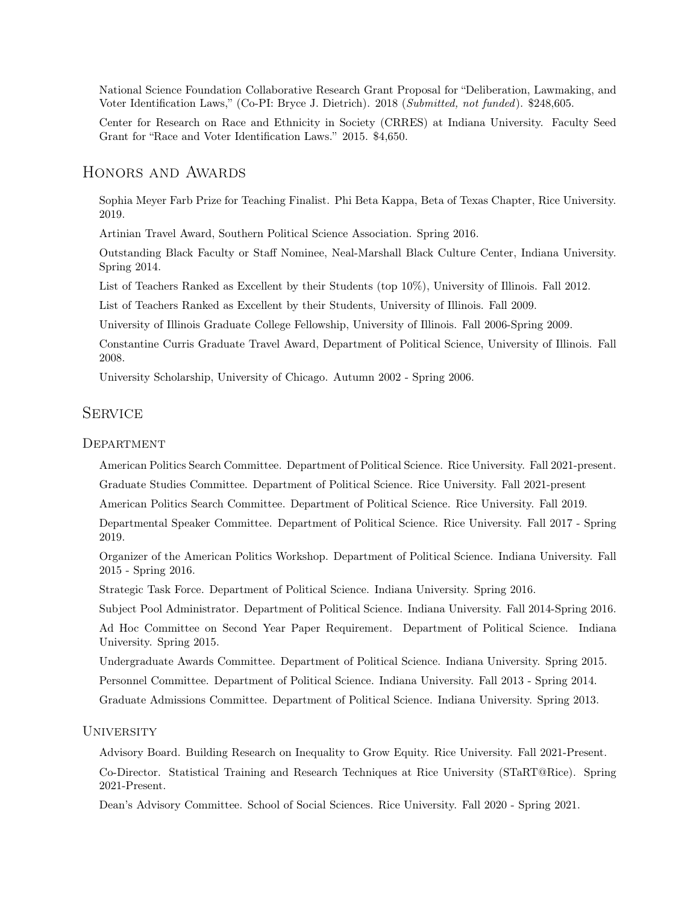National Science Foundation Collaborative Research Grant Proposal for "Deliberation, Lawmaking, and Voter Identifcation Laws," (Co-PI: Bryce J. Dietrich). 2018 (Submitted, not funded). \$248,605.

Center for Research on Race and Ethnicity in Society (CRRES) at Indiana University. Faculty Seed Grant for "Race and Voter Identifcation Laws." 2015. \$4,650.

# Honors and Awards

Sophia Meyer Farb Prize for Teaching Finalist. Phi Beta Kappa, Beta of Texas Chapter, Rice University. 2019.

Artinian Travel Award, Southern Political Science Association. Spring 2016.

Outstanding Black Faculty or Staf Nominee, Neal-Marshall Black Culture Center, Indiana University. Spring 2014.

List of Teachers Ranked as Excellent by their Students (top 10%), University of Illinois. Fall 2012.

List of Teachers Ranked as Excellent by their Students, University of Illinois. Fall 2009.

University of Illinois Graduate College Fellowship, University of Illinois. Fall 2006-Spring 2009.

Constantine Curris Graduate Travel Award, Department of Political Science, University of Illinois. Fall 2008.

University Scholarship, University of Chicago. Autumn 2002 - Spring 2006.

# **SERVICE**

#### **DEPARTMENT**

American Politics Search Committee. Department of Political Science. Rice University. Fall 2021-present.

Graduate Studies Committee. Department of Political Science. Rice University. Fall 2021-present

American Politics Search Committee. Department of Political Science. Rice University. Fall 2019.

Departmental Speaker Committee. Department of Political Science. Rice University. Fall 2017 - Spring 2019.

Organizer of the American Politics Workshop. Department of Political Science. Indiana University. Fall 2015 - Spring 2016.

Strategic Task Force. Department of Political Science. Indiana University. Spring 2016.

Subject Pool Administrator. Department of Political Science. Indiana University. Fall 2014-Spring 2016. Ad Hoc Committee on Second Year Paper Requirement. Department of Political Science. Indiana

University. Spring 2015.

Undergraduate Awards Committee. Department of Political Science. Indiana University. Spring 2015.

Personnel Committee. Department of Political Science. Indiana University. Fall 2013 - Spring 2014.

Graduate Admissions Committee. Department of Political Science. Indiana University. Spring 2013.

#### **UNIVERSITY**

Advisory Board. Building Research on Inequality to Grow Equity. Rice University. Fall 2021-Present. Co-Director. Statistical Training and Research Techniques at Rice University (STaRT@Rice). Spring 2021-Present.

Dean's Advisory Committee. School of Social Sciences. Rice University. Fall 2020 - Spring 2021.